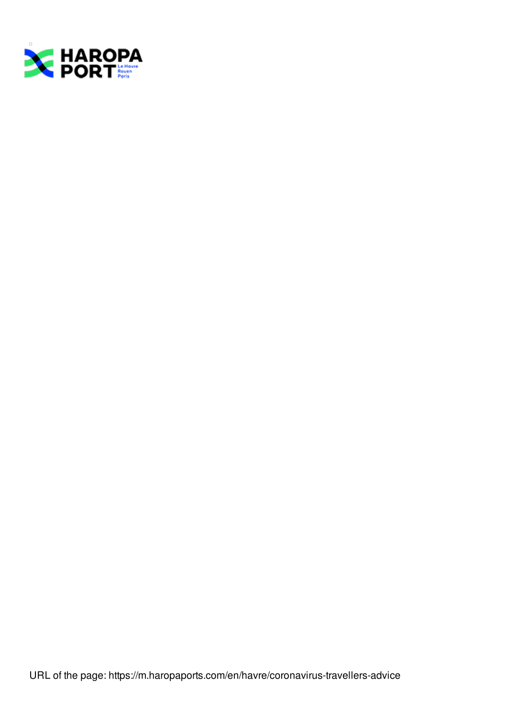